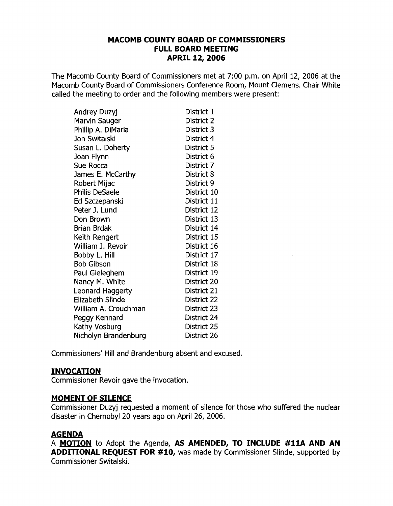## **MACOMB COUNTY BOARD OF COMMISSIONERS FULL BOARD MEETING APRIL 12, 2006**

The Macomb County Board of Commissioners met at 7:00 p.m. on April 12, 2006 at the Macomb County Board of Commissioners Conference Room, Mount Clemens. Chair White called the meeting to order and the following members were present:

| Andrey Duzyj            | District 1  |
|-------------------------|-------------|
| Marvin Sauger           | District 2  |
| Phillip A. DiMaria      | District 3  |
| Jon Switalski           | District 4  |
| Susan L. Doherty        | District 5  |
| Joan Flynn              | District 6  |
| Sue Rocca               | District 7  |
| James E. McCarthy       | District 8  |
| Robert Mijac            | District 9  |
| Philis DeSaele          | District 10 |
| Ed Szczepanski          | District 11 |
| Peter J. Lund           | District 12 |
| Don Brown               | District 13 |
| Brian Brdak             | District 14 |
| Keith Rengert           | District 15 |
| William J. Revoir       | District 16 |
| Bobby L. Hill           | District 17 |
| <b>Bob Gibson</b>       | District 18 |
| Paul Gieleghem          | District 19 |
| Nancy M. White          | District 20 |
| Leonard Haggerty        | District 21 |
| <b>Elizabeth Slinde</b> | District 22 |
| William A. Crouchman    | District 23 |
| Peggy Kennard           | District 24 |
| Kathy Vosburg           | District 25 |
| Nicholyn Brandenburg    | District 26 |

Commissioners' Hill and Brandenburg absent and excused.

## **INVOCATION**

Commissioner Revoir gave the invocation.

## **MOMENT OF SILENCE**

Commissioner Duzyj requested a moment of silence for those who suffered the nuclear disaster in Chernobyl 20 years ago on April 26, 2006.

 $\sim 10^{-1}$  $\sim 10$ 

## **AGENDA**

A **MOTION** to Adopt the Agenda, **AS AMENDED, TO INCLUDE #11A AND AN ADDITIONAL REQUEST FOR #10,** was made by Commissioner Slinde, supported by Commissioner Switalski.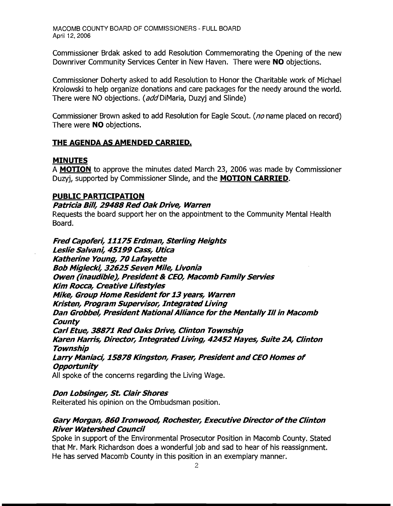Commissioner Brdak asked to add Resolution Commemorating the Opening of the new Downriver Community Services Center in New Haven. There were **NO** objections.

Commissioner Doherty asked to add Resolution to Honor the Charitable work of Michael Krolowski to help organize donations and care packages for the needy around the world. There were NO objections. (add DiMaria, Duzyj and Slinde)

Commissioner Brown asked to add Resolution for Eagle Scout. (no name placed on record) There were **NO** objections.

## **THE AGENDA AS AMENDED CARRIED.**

## **MINUTES**

A **MOTION** to approve the minutes dated March 23, 2006 was made by Commissioner Duzyj, supported by Commissioner Slinde, and the **MOTION CARRIED.** 

## **PUBLIC PARTICIPATION**

## **Patricia Bill, 29488 Red Oak Drive, Warren**

Requests the board support her on the appointment to the Community Mental Health Board.

**Fred Capoferi, 11175Erdman, Sterling Heights Leslie Salvani, 45199 Cass, Utica Katherine Young, 70 Lafayette Bob Miglecki, 32625Seven Mile, Livonia Owen (inaudible), President & CEO, Macomb Family Servies Kim Rocca, Creative Lifestyles Mike, Group Home Resident for 13 years, Warren Kristen, Program Supervisor, Integrated Living Dan Grobbel, President NationalAlliance for the Mentally III in Macomb County Carl Etue, 38871 Red Oaks Drive, Clinton Township Karen Harris, Director, IntegratedLiving, 42452 Hayes, Suite 2A, Clinton Township Larry Maniaci, 15878 Kingston, Fraser, President and CEO Homes of Opportunity** 

All spoke of the concerns regarding the Living Wage.

## **Don Lobsinger, St. Clair Shores**

Reiterated his opinion on the Ombudsman position.

## **Gary Morgan, 860 Ironwood, Rochester, Executive Directorofthe Clinton River Watershed Council**

Spoke in support of the Environmental Prosecutor Position in Macomb County. Stated that Mr. Mark Richardson does a wonderful job and sad to hear of his reassignment. He has served Macomb County in this position in an exemplary manner.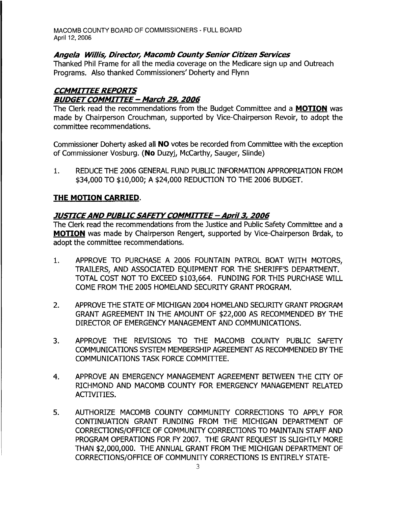## Angela Willis, Director, Macomb County Senior Citizen Services

Thanked Phil Frame for all the media coverage on the Medicare sign up and Outreach Programs. Also thanked Commissioners' Doherty and Flynn

## CCMMITTEE REPORTS **BUDGET COMMITTEE - March 29, 2006**

The Clerk read the recommendations from the Budget Committee and a **MOTION** was made by Chairperson Crouchman, supported by Vice-Chairperson Revoir, to adopt the committee recommendations.

Commissioner Doherty asked all NO votes be recorded from Committee with the exception of Commissioner Vosburg. (No Duzyj, McCarthy, Sauger, Slinde)

1. REDUCE THE 2006 GENERAL FUND PUBLIC INFORMATION APPROPRIATION FROM \$34,000 TO \$10,000; A \$24,000 REDUCTION TO THE 2006 BUDGET.

# THE MOTION CARRIED.

# JUSTICE AND PUBLIC SAFETY COMMITTEE - April 3, 2006

The Clerk read the recommendations from the Justice and Public Safety Committee and a MOTION was made by Chairperson Rengert, supported by Vice-Chairperson Brdak, to adopt the committee recommendations.

- 1. APPROVE TO PURCHASE A 2006 FOUNTAIN PATROL BOAT WITH MOTORS, TRAILERS, AND ASSOCIATED EQUIPMENT FOR THE SHERIFF'S DEPARTMENT. TOTAL COST NOT TO EXCEED \$103,664. FUNDING FOR THIS PURCHASE WILL COME FROM THE 2005 HOMELAND SECURITY GRANT PROGRAM.
- 2. APPROVE THE STATE OF MICHIGAN 2004 HOMELAND SECURITY GRANT PROGRAM GRANT AGREEMENT IN THE AMOUNT OF \$22,000 AS RECOMMENDED BY THE DIRECTOR OF EMERGENCY MANAGEMENT AND COMMUNICATIONS.
- 3. APPROVE THE REVISIONS TO THE MACOMB COUNTY PUBLIC SAFETY COMMUNICATIONS SYSTEM MEMBERSHIP AGREEMENT AS RECOMMENDED BY THE COMMUNICATIONS TASK FORCE COMMITTEE.
- 4. APPROVE AN EMERGENCY MANAGEMENT AGREEMENT BETWEEN THE CITY OF RICHMOND AND MACOMB COUNTY FOR EMERGENCY MANAGEMENT RELATED ACTIVITIES.
- 5. AUTHORIZE MACOMB COUNTY COMMUNITY CORRECTIONS TO APPLY FOR CONT[NUATION GRANT FUNDING FROM THE MICHIGAN DEPARTMENT OF CORRECTIONS/OFFICE OF COMMUNITY CORRECTIONS TO MAINTAIN STAFF AND PROGRAM OPERATIONS FOR FY 2007. THE GRANT REQUEST IS SLIGHTLY MORE THAN \$2,000,000. THE ANNUAL GRANT FROM THE MICHIGAN DEPARTMENT OF CORRECTIONS/OFFICE OF COMMUNITY CORRECTIONS IS ENTIRELY STATE-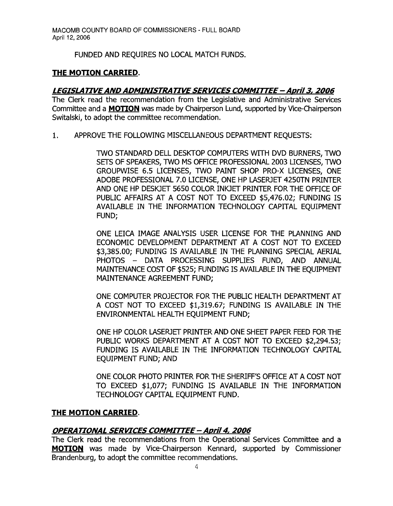FUNDED AND REQUIRES NO LOCAL MATCH FUNDS.

## **THE MOTION CARRIED.**

## *LEGISLArIVEAND ADMINISTRATIVE SERVICES COMMITTEE* **-** *April***3,** *2006*

The Clerk read the recommendation from the Legislative and Administrative Services Committee and a **MOTION** was made by Chairperson Lund, supported by Vice-Chairperson Switalski, to adopt the committee recommendation.

1. APPROVE THE FOLLOWING MISCELLANEOUS DEPARTMENT REQUESTS:

TWO STANDARD DELL DESKTOP COMPUTERS WITH DVD BURNERS, TWO SETS OF SPEAKERS, TWO MS OFFICE PROFESSIONAL 2003 liCENSES, TWO GROUPWISE 6.5 LICENSES, TWO PAINT SHOP PRO-X LICENSES, ONE ADOBE PROFESSIONAL 7.0 LICENSE, ONE HP LASERJET 4250TN PRINTER AND ONE HP DESKJET 5650 COLOR INKJET PRINTER FOR THE OFFICE OF PUBLIC AFFAIRS AT A COST NOT TO EXCEED \$5,476.02; FUNDING IS AVAILABLE IN THE INFORMATION TECHNOLOGY CAPITAL EQUIPMENT FUND;

ONE LEICA IMAGE ANALYSIS USER LICENSE FOR THE PLANNING AND ECONOMIC DEVELOPMENT DEPARTMENT AT A COST NOT TO EXCEED \$3,385.00; FUNDING IS AVAILABLE IN THE PLANNING SPECIAL AERIAL PHOTOS - DATA PROCESSING SUPPLIES FUND, AND ANNUAL MAINTENANCE COST OF \$525; FUNDING IS AVAILABLE IN THE EQUIPMENT MAINTENANCE AGREEMENT FUND;

ONE COMPUTER PROJECTOR FOR THE PUBLIC HEALTH DEPARTMENT AT A COST NOT TO EXCEED \$1,319.67; FUNDING IS AVAILABLE IN THE ENVIRONMENTAL HEALTH EQUIPMENT FUND;

ONE HP COLOR LASERJET PRINTER AND ONE SHEET PAPER FEED FOR THE PUBLIC WORKS DEPARTMENT AT A COST NOT TO EXCEED \$2,294.53; FUNDING IS AVAILABLE IN THE INFORMATION TECHNOLOGY CAPITAL EQUIPMENT FUND; AND

ONE COLOR PHOTO PRINTER FOR THE SHERIFF'S OFFICE AT A COST NOT TO EXCEED \$1,077; FUNDING IS AVAILABLE IN THE INFORMATION TECHNOLOGY CAPITAL EQUIPMENT FUND.

## **THE MOTION CARRIED.**

## *OPERA TIONAL SERVICES COMMITTEE* **-** April4, *2006*

The Clerk read the recommendations from the Operational Services Committee and a **MOTION** was made by Vice-Chairperson Kennard, supported by Commissioner Brandenburg, to adopt the committee recommendations.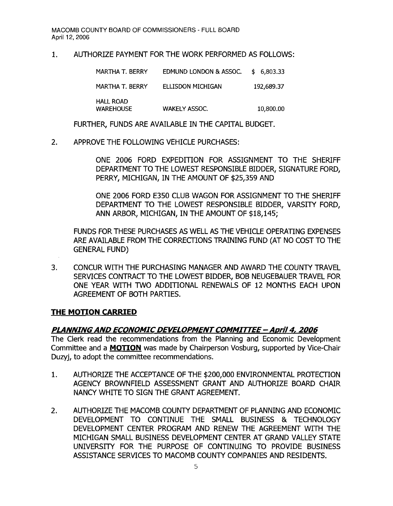#### 1. AUTHORIZE PAYMENT FOR THE WORK PERFORMED AS FOLLOWS:

MARTHA T. BERRY EDMUND LONDON & ASSOC. \$ 6,803.33 MARTHA T. BERRY ELLISDON MICHIGAN 192,689.37 HALL ROAD WAREHOUSE WAKELY ASSOC. 10,800.00

FURTHER, FUNDS ARE AVAILABLE IN THE CAPITAL BUDGET.

2. APPROVE THE FOLLOWING VEHICLE PURCHASES:

ONE 2006 FORD EXPEDITION FOR ASSIGNMENT TO THE SHERIFF DEPARTMENT TO THE LOWEST RESPONSIBLE BIDDER, SIGNATURE FORD, PERRY, MICHIGAN, IN THE AMOUNT OF \$25,359 AND

ONE 2006 FORD E350 CLUB WAGON FOR ASSIGNMENT TO THE SHERIFF DEPARTMENT TO THE LOWEST RESPONSIBLE BIDDER, VARSITY FORD, ANN ARBOR, MICHIGAN, IN THE AMOUNT OF \$18,145;

FUNDS FOR THESE PURCHASES AS WELL AS THE VEHICLE OPERATING EXPENSES ARE AVAILABLE FROM THE CORRECTIONS TRAINING FUND (AT NO COST TO THE GENERAL FUND)

3. CONCUR WITH THE PURCHASING MANAGER AND AWARD THE COUNTY TRAVEL SERVICES CONTRACT TO THE LOWEST BIDDER, BOB NEUGEBAUER TRAVEL FOR ONE YEAR WITH TWO ADDITIONAL RENEWALS OF 12 MONTHS EACH UPON AGREEMENT OF BOTH PARTIES.

#### **THE MOTION CARRIED**

## **PLANNINGAND ECONOMICDEVELOPMENTCOMMITTEE - Aori/4, 2006**

The Clerk read the recommendations from the Planning and Economic Development Committee and a **MOTION** was made by Chairperson Vosburg, supported by Vice-Chair Duzyj, to adopt the committee recommendations.

- 1. AUTHORIZE THE ACCEPTANCE OF THE \$200,000 ENVIRONMENTAL PROTECTION AGENCY BROWNFIELD ASSESSMENT GRANT AND AUTHORIZE BOARD CHAIR NANCY WHITE TO SIGN THE GRANT AGREEMENT.
- 2. AUTHORIZE THE MACOMB COUNTY DEPARTMENT OF PLANNING AND ECONOMIC DEVELOPMENT TO CONTINUE THE SMALL BUSINESS & TECHNOLOGY DEVELOPMENT CENTER PROGRAM AND RENEW THE AGREEMENT WITH THE MICHIGAN SMALL BUSINESS DEVELOPMENT CENTER AT GRAND VALLEY STATE UNIVERSITY FOR THE PURPOSE OF CONTINUING TO PROVIDE BUSINESS ASSISTANCE SERVICES TO MACOMB COUNTY COMPANIES AND RESIDENTS.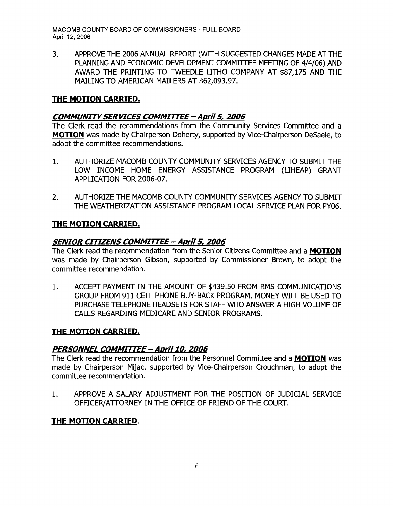3. APPROVE THE 2006 ANNUAL REPORT (WITH SUGGESTED CHANGES MADE AT THE PLANNING AND ECONOMIC DEVELOPMENT COMMITTEE MEETING OF 4/4/06) AND AWARD THE PRINTING TO TWEEDLE LITHO COMPANY AT \$87,175 AND THE MAILING TO AMERICAN MAILERS AT \$62,093.97.

## **THE MOTION CARRIED.**

#### **COMMUNITY SERVICES COMMITTEE - April 5, 2006**

The Clerk read the recommendations from the Community Services Committee and a **MOTION** was made by Chairperson Doherty, supported by Vice-Chairperson DeSaele, to adopt the committee recommendations.

- 1. AUTHORIZE MACOMB COUNTY COMMUNITY SERVICES AGENCY TO SUBMIT THE LOW INCOME HOME ENERGY ASSISTANCE PROGRAM (LIHEAP) GRANT APPLICATION FOR 2006-07.
- 2. AUTHORIZE THE MACOMB COUNTY COMMUNITY SERVICES AGENCY TO SUBMIT THE WEATHERIZATION ASSISTANCE PROGRAM LOCAL SERVICE PLAN FOR PY06.

## **THE MOTION CARRIED.**

#### **SENIOR CITIZENS COMMITTEE - AprilS, 2006**

The Clerk read the recommendation from the Senior Citizens Committee and a **MOTION**  was made by Chairperson Gibson, supported by Commissioner Brown, to adopt the committee recommendation.

1. ACCEPT PAYMENT IN THE AMOUNT OF \$439.50 FROM RMS COMMUNICATIONS GROUP FROM 911 CELL PHONE BUY-BACK PROGRAM. MONEY WILL BE USED TO PURCHASE TELEPHONE HEADSETS FOR STAFF WHO ANSWER A HIGH VOLUME OF CALLS REGARDING MEDICARE AND SENIOR PROGRAMS.

#### **THE MOTION CARRIED.**

## **PERSONNEL COMMITTEE -** *April10,* **2006**

The Clerk read the recommendation from the Personnel Committee and a **MOTION** was made by Chairperson Mijac, supported by Vice-Chairperson Crouchman, to adopt the committee recommendation.

1. APPROVE A SALARY ADJUSTMENT FOR THE POSITION OF JUDICIAL SERVICE OFFICER/ATTORNEY IN THE OFFICE OF FR[END OF THE COURT.

## **THE MOTION CARRIED.**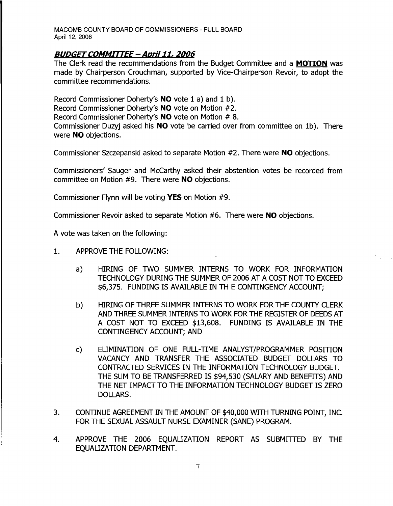#### **BUDGET COMMITTEE - April 11, 2006**

The Clerk read the recommendations from the Budget Committee and a **MOTION** was made by Chairperson Crouchman, supported by Vice-Chairperson Revoir, to adopt the committee recommendations.

Record Commissioner Doherty's **NO** vote 1 a) and 1 b). Record Commissioner Doherty's **NO** vote on Motion #2. Record Commissioner Doherty's **NO** vote on Motion # 8. Commissioner Duzyj asked his **NO** vote be carried over from committee on Ib). There were **NO** objections.

Commissioner Szczepanski asked to separate Motion #2. There were **NO** objections.

Commissioners' Sauger and McCarthy asked their abstention votes be recorded from committee on Motion #9. There were **NO** objections.

Commissioner Flynn will be voting **YES** on Motion #9.

Commissioner Revoir asked to separate Motion #6. There were **NO** objections.

A vote was taken on the following:

- 1. APPROVE THE FOLLOWING:
	- a) HIRING OF TWO SUMMER INTERNS TO WORK FOR INFORMATION TECHNOLOGY DURING THE SUMMER OF 2006 AT A COST NOT TO EXCEED \$6,375. FUNDING IS AVAILABLE IN TH E CONTINGENCY ACCOUNT;
	- b) HIRING OF THREE SUMMER INTERNS TO WORK FOR THE COUNTY CLERK AND THREE SUMMER INTERNS TO WORK FOR THE REGISTER OF DEEDS AT A COST NOT TO EXCEED \$13,608. FUNDING IS AVAILABLE IN THE CONTINGENCY ACCOUNT; AND
	- c) ELIMINATION OF ONE FULL-TIME ANALYST/PROGRAMMER POSITION VACANCY AND TRANSFER THE ASSOCIATED BUDGET DOLLARS TO CONTRACTED SERVICES IN THE INFORMATION TECHNOLOGY BUDGET. THE SUM TO BE TRANSFERRED IS \$94,530 (SALARY AND BENEFITS) AND THE NET IMPACT TO THE INFORMATION TECHNOLOGY BUDGET IS ZERO DOLLARS.
- 3. CONTINUE AGREEMENT IN THE AMOUNT OF \$40,000 WITH TURNING POINT, INC. FOR THE SEXUAL ASSAULT NURSE EXAMINER (SANE) PROGRAM.
- 4. APPROVE THE 2006 EOUALIZATION REPORT AS SUBMITTED BY THE EQUALIZATION DEPARTMENT.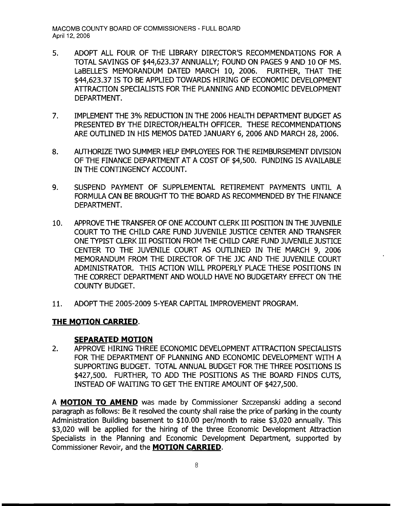- 5. ADOPT ALL FOUR OF THE LIBRARY DIRECTOR'S RECOMMENDATIONS FOR A TOTAL SAVINGS OF \$44,623.37 ANNUALLY; FOUND ON PAGES 9 AND 10 OF MS. LaBELLE'S MEMORANDUM DATED MARCH 10, 2006. FURTHER, THAT THE \$44,623.37 IS TO BE APPLIED TOWARDS HIRING OF ECONOMIC DEVELOPMENT ATrRACTION SPECIALISTS FOR THE PLANNING AND ECONOMIC DEVELOPMENT DEPARTMENT.
- 7. IMPLEMENT THE 3% REDUCTION IN THE 2006 HEALTH DEPARTMENT BUDGET AS PRESENTED BY THE DIRECTOR/HEALTH OFFICER. THESE RECOMMENDATIONS ARE OUTLINED IN HIS MEMOS DATED JANUARY 6, 2006 AND MARCH 28, 2006.
- 8. AUTHORIZE TWO SUMMER HELP EMPLOYEES FOR THE REIMBURSEMENT DIVISION OF THE FINANCE DEPARTMENT AT A COST OF \$4,500. FUNDING IS AVAILABLE IN THE CONTINGENCY ACCOUNT.
- 9. SUSPEND PAYMENT OF SUPPLEMENTAL RETIREMENT PAYMENTS UNTIL A FORMULA CAN BE BROUGHT TO THE BOARD AS RECOMMENDED BY THE FINANCE DEPARTMENT.
- 10. APPROVE THE TRANSFER OF ONE ACCOUNT CLERK III POSITION IN THE JUVENILE COURT TO THE CHILD CARE FUND JUVENILE JUSTICE CENTER AND TRANSFER ONE TYPIST CLERK III POSITION FROM THE CHILD CARE FUND JUVENILE JUSTICE CENTER TO THE JUVENILE COURT AS OUTLINED IN THE MARCH 9, 2006 MEMORANDUM FROM THE DIRECTOR OF THE JJC AND THE JUVENILE COURT ADMINISTRATOR. THIS ACTION WILL PROPERLY PLACE THESE POSITIONS IN THE CORRECT DEPARTMENT AND WOULD HAVE NO BUDGETARY EFFECT ON THE COUNTY BUDGET.
- 11. ADOPT THE 2005-2009 5-YEAR CAPITAL IMPROVEMENT PROGRAM.

# **THE MOTION CARRIED.**

## **SEPARATED MOTION**

2. APPROVE HIRING THREE ECONOMIC DEVELOPMENT ATTRACTION SPECIALISTS FOR THE DEPARTMENT OF PLANNING AND ECONOMIC DEVELOPMENT WITH A SUPPORTING BUDGET. TOTAL ANNUAL BUDGET FOR THE THREE POSITIONS IS \$427,500. FURTHER, TO ADD THE POSITIONS AS THE BOARD FINDS CUTS, INSTEAD OF WAITING TO GET THE ENTIRE AMOUNT OF \$427,500.

A **MOTION TO AMEND** was made by Commissioner Szczepanski adding a second paragraph as follows: Be it resolved the county shall raise the price of parking in the county Administration Building basement to \$10.00 per/month to raise \$3,020 annually. This \$3,020 will be applied for the hiring of the three Economic Development Attraction Specialists in the Planning and Economic Development Department, supported by Commissioner Revoir, and the **MOTION CARRIED.**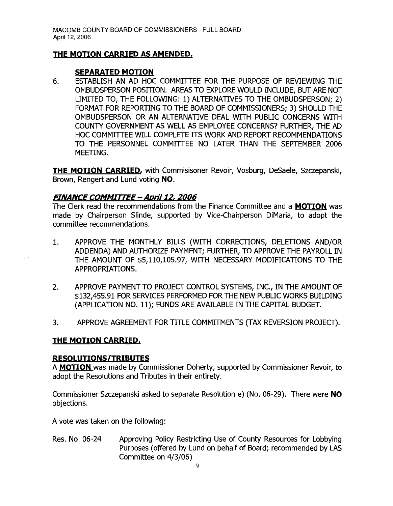## **THE MOTION CARRIED AS AMENDED.**

#### **SEPARATED MOTION**

6. ESTABLISH AN AD HOC COMMITTEE FOR THE PURPOSE OF REVIEWING THE OMBUDSPERSON POSITION. AREAS TO EXPLORE WOULD INCLUDE, BUT ARE NOT LIMITED TO, THE FOLLOWING: 1) ALTERNATIVES TO THE OMBUDSPERSON; 2) FORMAT FOR REPORTING TO THE BOARD OF COMMISSIONERS; 3) SHOULD THE OMBUDSPERSON OR AN ALTERNATIVE DEAL WITH PUBLIC CONCERNS WITH COUNTY GOVERNMENT AS WELL AS EMPLOYEE CONCERNS? FURTHER, THE AD HOC COMMITTEE WILL COMPLETE ITS WORK AND REPORT RECOMMENDATIONS TO THE PERSONNEL COMMITTEE NO LATER THAN THE SEPTEMBER 2006 MEETING.

**THE MOTION CARRIED,** with Commisisoner Revoir, Vosburg, DeSaele, Szczepanski, Brown, Rengert and Lund voting **NO.** 

## **FINANCE COMMITTEE - Apri/12, 2006**

The Clerk read the recommendations from the Finance Committee and a **MOTION** was made by Chairperson Slinde, supported by Vice-Chairperson DiMaria, to adopt the committee recommendations.

- 1. APPROVE THE MONTHLY BILLS (WITH CORRECTIONS, DELETIONS AND/OR ADDENDA) AND AUTHORIZE PAYMENT; FURTHER, TO APPROVE THE PAYROLL IN THE AMOUNT OF \$5,110,105.97, WITH NECESSARY MODIFICATIONS TO THE APPROPRIATIONS.
- 2. APPROVE PAYMENT TO PROJECT CONTROL SYSTEMS, INC., IN THE AMOUNT OF \$132,455.91 FOR SERVICES PERFORMED FOR THE NEW PUBLIC WORKS BUILDING (APPLICATION NO. 11); FUNDS ARE AVAILABLE IN THE CAPITAL BUDGET.
- 3. APPROVE AGREEMENT FOR TITLE COMMITMENTS (TAX REVERSION PROJECT).

## **THE MOTION CARRIED.**

#### **RESOLUTIONS/TRIBUTES**

A **MOTION** was made by Commissioner Doherty, supported by Commissioner Revoir, to adopt the Resolutions and Tributes in their entirety.

Commissioner Szczepanski asked to separate Resolution e) (No. 06-29). There were **NO**  objections.

A vote was taken on the following:

Res. No 06-24 Approving Policy Restricting Use of County Resources for Lobbying Purposes (offered by Lund on behalf of Board; recommended by LAS Committee on 4/3/06)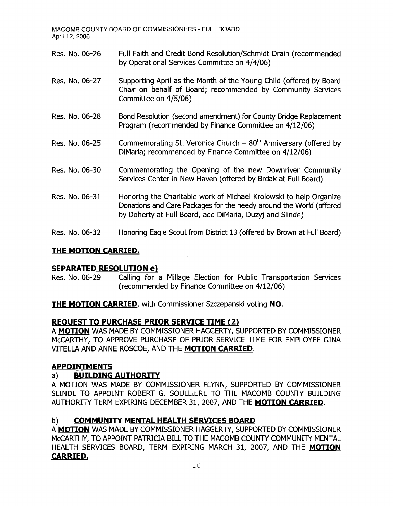Res. No. 06-26 Full Faith and Credit Bond Resolution/Schmidt Drain (recommended by Operational Services Committee on 4/4/06) Res. No. 06-27 Supporting April as the Month of the Young Child (offered by Board Chair on behalf of Board; recommended by Community Services Committee on 4/5/06) Res. No. 06-28 Bond Resolution (second amendment) for County Bridge Replacement Program (recommended by Finance Committee on 4/12/06) Res. No. 06-25 Commemorating St. Veronica Church  $-80<sup>th</sup>$  Anniversary (offered by DiMaria; recommended by Finance Committee on 4/12/06) Res. No. 06-30 Commemorating the Opening of the new Downriver Community Services Center in New Haven (offered by Brdak at Full Board) Res. No. 06-31 Honoring the Charitable work of Michael Krolowski to help Organize Donations and Care Packages for the needy around the World (offered by Doherty at Full Board, add DiMaria, Duzyj and Slinde) Res. No. 06-32 Honoring Eagle Scout from District 13 (offered by Brown at Full Board)

#### **THE MOTION CARRIED.**

## **SEPARATED RESOLUTION e)**

Res. No. 06-29 Calling for a Millage Election for Public Transportation Services (recommended by Finance Committee on 4/12/06)

**THE MOTION CARRIED,** with Commissioner Szczepanski voting **NO.** 

## **REOUEST TO PURCHASE PRIOR SERVICE TIME (2)**

A **MOTION** WAS MADE BY COMMISSIONER HAGGERTY, SUPPORTED BY COMMISSIONER McCARTHY, TO APPROVE PURCHASE OF PRIOR SERVICE TIME FOR EMPLOYEE GINA VITELLA AND ANNE ROSCOE, AND THE **MOTION CARRIED**.

## **APPOINTMENTS**

## a) **BUILDING AUTHORITY**

A MOTION WAS MADE BY COMMISSIONER FLYNN, SUPPORTED BY COMMISSIONER SLINDE TO APPOINT ROBERT G. SOULLIERE TO THE MACOMB COUNTY BUILDING AUTHORITY TERM EXPIRING DECEMBER 31, 2007, AND THE **MOTION CARRIED.** 

## b) **COMMUNITY MENTAL HEALTH SERVICES BOARD**

A **MOTION** WAS MADE BY COMMISSIONER HAGGERTY, SUPPORTED BY COMMISSIONER MCCARTHY, TO APPOINT PATRICIA BILL TO THE MACOMB COUNTY COMMUNITY MENTAL HEALTH SERVICES BOARD, TERM EXPIRING MARCH 31, 2007, AND THE **MOTION CARRIED.**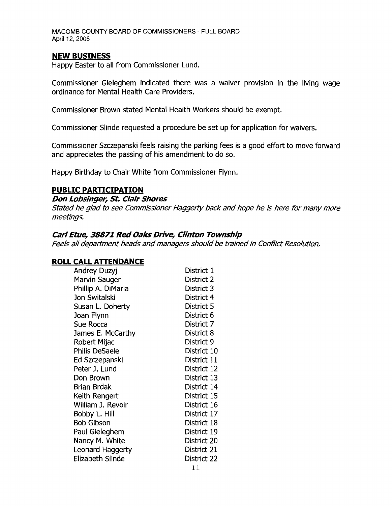#### **NEW BUSINESS**

Happy Easter to all from Commissioner Lund.

Commissioner Gieleghem indicated there was a waiver provision in the living wage ordinance for Mental Health Care Providers.

Commissioner Brown stated Mental Health Workers should be exempt.

Commissioner Slinde requested a procedure be set up for application for waivers.

Commissioner Szczepanski feels raising the parking fees is a good effort to move forward and appreciates the passing of his amendment to do so.

Happy Birthday to Chair White from Commissioner Flynn.

#### **PUBLIC PARTICIPATION**

#### **Don Lobsinger, St. Clair Shores**

Stated he glad to see Commissioner Haggerty back and hope he is here for many more meetings.

#### **Carl Etue, 38871 Red Oaks Drive, Clinton Township**

Feels all department heads and managers should be trained in Conflict Resolution.

#### **ROLL CALL ATTENDANCE**

| Andrey Duzyj          | District 1  |
|-----------------------|-------------|
| Marvin Sauger         | District 2  |
| Phillip A. DiMaria    | District 3  |
| Jon Switalski         | District 4  |
| Susan L. Doherty      | District 5  |
| Joan Flynn            | District 6  |
| Sue Rocca             | District 7  |
| James E. McCarthy     | District 8  |
| Robert Mijac          | District 9  |
| <b>Philis DeSaele</b> | District 10 |
| Ed Szczepanski        | District 11 |
| Peter J. Lund         | District 12 |
| Don Brown             | District 13 |
| <b>Brian Brdak</b>    | District 14 |
| Keith Rengert         | District 15 |
| William J. Revoir     | District 16 |
| Bobby L. Hill         | District 17 |
| <b>Bob Gibson</b>     | District 18 |
| Paul Gieleghem        | District 19 |
| Nancy M. White        | District 20 |
| Leonard Haggerty      | District 21 |
| Elizabeth Slinde      | District 22 |